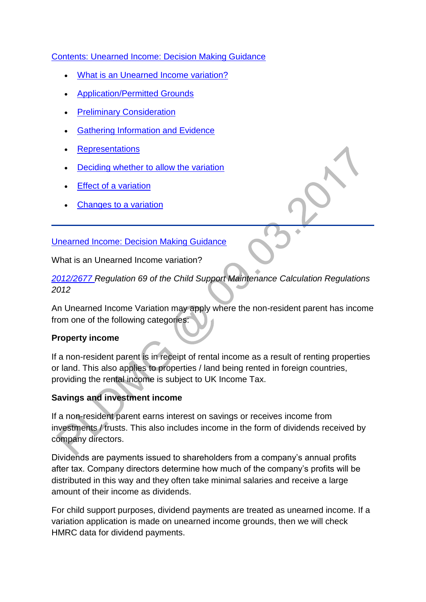### [Contents: Unearned Income: Decision Making Guidance](http://np-cmg-sharepoint.link2.gpn.gov.uk/sites/policy-law-and-decision-making-guidance/Pages/Variations/Additional%20Income/Unearned-income.aspx)

- [What is an Unearned Income variation?](http://np-cmg-sharepoint.link2.gpn.gov.uk/sites/policy-law-and-decision-making-guidance/Pages/Variations/Additional%20Income/Unearned-income.aspx#UnearnedIncome)
- [Application/Permitted Grounds](http://np-cmg-sharepoint.link2.gpn.gov.uk/sites/policy-law-and-decision-making-guidance/Pages/Variations/Additional%20Income/Unearned-income.aspx#UIApplication)
- [Preliminary Consideration](http://np-cmg-sharepoint.link2.gpn.gov.uk/sites/policy-law-and-decision-making-guidance/Pages/Variations/Additional%20Income/Unearned-income.aspx#UIPreliminaryConsideration)
- [Gathering Information and Evidence](http://np-cmg-sharepoint.link2.gpn.gov.uk/sites/policy-law-and-decision-making-guidance/Pages/Variations/Additional%20Income/Unearned-income.aspx#UIEvidence)
- **[Representations](http://np-cmg-sharepoint.link2.gpn.gov.uk/sites/policy-law-and-decision-making-guidance/Pages/Variations/Additional%20Income/Unearned-income.aspx#UIRepresentations)**
- [Deciding whether to allow the variation](http://np-cmg-sharepoint.link2.gpn.gov.uk/sites/policy-law-and-decision-making-guidance/Pages/Variations/Additional%20Income/Unearned-income.aspx#UIAllow)
- [Effect of a variation](http://np-cmg-sharepoint.link2.gpn.gov.uk/sites/policy-law-and-decision-making-guidance/Pages/Variations/Additional%20Income/Unearned-income.aspx#UIEffect)
- [Changes to a variation](http://np-cmg-sharepoint.link2.gpn.gov.uk/sites/policy-law-and-decision-making-guidance/Pages/Variations/Additional%20Income/Unearned-income.aspx#UIChanges)

### [Unearned Income: Decision Making Guidance](http://np-cmg-sharepoint.link2.gpn.gov.uk/sites/policy-law-and-decision-making-guidance/Pages/Variations/Additional%20Income/Unearned-income.aspx)

What is an Unearned Income variation?

*[2012/2677 R](http://www.legislation.gov.uk/uksi/2012/2677)egulation 69 of the Child Support Maintenance Calculation Regulations 2012*

An Unearned Income Variation may apply where the non-resident parent has income from one of the following categories:

### **Property income**

If a non-resident parent is in receipt of rental income as a result of renting properties or land. This also applies to properties / land being rented in foreign countries, providing the rental income is subject to UK Income Tax.

# **Savings and investment income**

If a non-resident parent earns interest on savings or receives income from investments / trusts. This also includes income in the form of dividends received by company directors.

Dividends are payments issued to shareholders from a company's annual profits after tax. Company directors determine how much of the company's profits will be distributed in this way and they often take minimal salaries and receive a large amount of their income as dividends.

For child support purposes, dividend payments are treated as unearned income. If a variation application is made on unearned income grounds, then we will check HMRC data for dividend payments.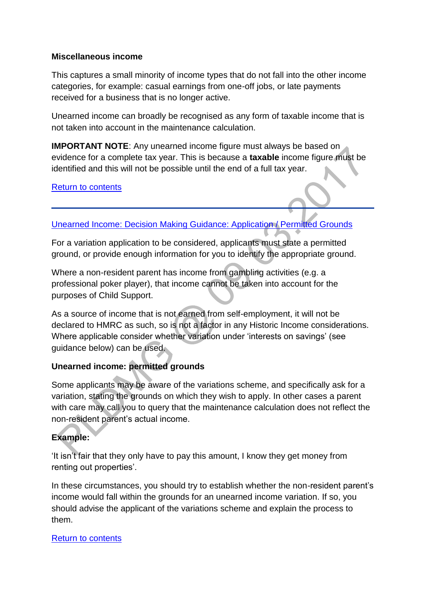### **Miscellaneous income**

This captures a small minority of income types that do not fall into the other income categories, for example: casual earnings from one-off jobs, or late payments received for a business that is no longer active.

Unearned income can broadly be recognised as any form of taxable income that is not taken into account in the maintenance calculation.

**IMPORTANT NOTE:** Any unearned income figure must always be based on evidence for a complete tax year. This is because a **taxable** income figure must be identified and this will not be possible until the end of a full tax year.

[Return to contents](http://np-cmg-sharepoint.link2.gpn.gov.uk/sites/policy-law-and-decision-making-guidance/Pages/Variations/Additional%20Income/Unearned-income.aspx#OverviewContents)

### [Unearned Income: Decision Making Guidance: Application / Permitted Grounds](http://np-cmg-sharepoint.link2.gpn.gov.uk/sites/policy-law-and-decision-making-guidance/Pages/Variations/Additional%20Income/Unearned-income.aspx)

For a variation application to be considered, applicants must state a permitted ground, or provide enough information for you to identify the appropriate ground.

Where a non-resident parent has income from gambling activities (e.g. a professional poker player), that income cannot be taken into account for the purposes of Child Support.

As a source of income that is not earned from self-employment, it will not be declared to HMRC as such, so is not a factor in any Historic Income considerations. Where applicable consider whether variation under 'interests on savings' (see guidance below) can be used.

### **Unearned income: permitted grounds**

Some applicants may be aware of the variations scheme, and specifically ask for a variation, stating the grounds on which they wish to apply. In other cases a parent with care may call you to query that the maintenance calculation does not reflect the non-resident parent's actual income.

# **Example:**

'It isn't fair that they only have to pay this amount, I know they get money from renting out properties'.

In these circumstances, you should try to establish whether the non-resident parent's income would fall within the grounds for an unearned income variation. If so, you should advise the applicant of the variations scheme and explain the process to them.

### [Return to contents](http://np-cmg-sharepoint.link2.gpn.gov.uk/sites/policy-law-and-decision-making-guidance/Pages/Variations/Additional%20Income/Unearned-income.aspx#OverviewContents)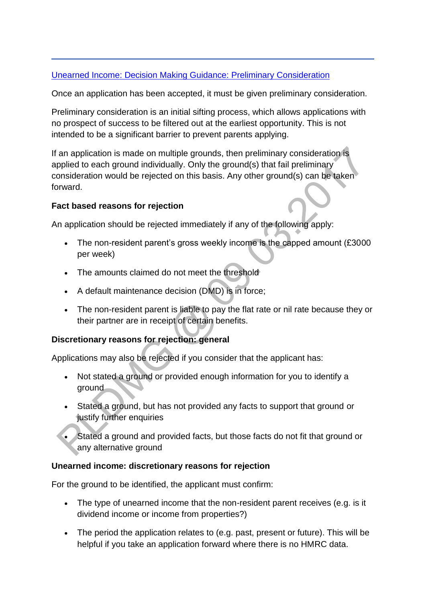# [Unearned Income: Decision Making Guidance: Preliminary Consideration](http://np-cmg-sharepoint.link2.gpn.gov.uk/sites/policy-law-and-decision-making-guidance/Pages/Variations/Additional%20Income/Unearned-income.aspx)

Once an application has been accepted, it must be given preliminary consideration.

Preliminary consideration is an initial sifting process, which allows applications with no prospect of success to be filtered out at the earliest opportunity. This is not intended to be a significant barrier to prevent parents applying.

If an application is made on multiple grounds, then preliminary consideration is applied to each ground individually. Only the ground(s) that fail preliminary consideration would be rejected on this basis. Any other ground(s) can be taken forward.

### **Fact based reasons for rejection**

An application should be rejected immediately if any of the following apply:

- The non-resident parent's gross weekly income is the capped amount (£3000) per week)
- The amounts claimed do not meet the threshold
- A default maintenance decision (DMD) is in force;
- The non-resident parent is liable to pay the flat rate or nil rate because they or their partner are in receipt of certain benefits.

### **Discretionary reasons for rejection: general**

Applications may also be rejected if you consider that the applicant has:

- Not stated a ground or provided enough information for you to identify a ground
- Stated a ground, but has not provided any facts to support that ground or justify further enquiries
- Stated a ground and provided facts, but those facts do not fit that ground or any alternative ground

### **Unearned income: discretionary reasons for rejection**

For the ground to be identified, the applicant must confirm:

- The type of unearned income that the non-resident parent receives (e.g. is it dividend income or income from properties?)
- The period the application relates to (e.g. past, present or future). This will be helpful if you take an application forward where there is no HMRC data.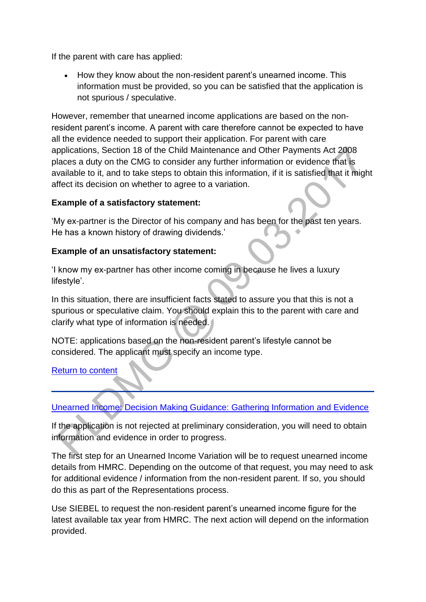If the parent with care has applied:

• How they know about the non-resident parent's unearned income. This information must be provided, so you can be satisfied that the application is not spurious / speculative.

However, remember that unearned income applications are based on the nonresident parent's income. A parent with care therefore cannot be expected to have all the evidence needed to support their application. For parent with care applications, Section 18 of the Child Maintenance and Other Payments Act 2008 places a duty on the CMG to consider any further information or evidence that is available to it, and to take steps to obtain this information, if it is satisfied that it might affect its decision on whether to agree to a variation.

### **Example of a satisfactory statement:**

'My ex-partner is the Director of his company and has been for the past ten years. He has a known history of drawing dividends.'

### **Example of an unsatisfactory statement:**

'I know my ex-partner has other income coming in because he lives a luxury lifestyle'.

In this situation, there are insufficient facts stated to assure you that this is not a spurious or speculative claim. You should explain this to the parent with care and clarify what type of information is needed.

NOTE: applications based on the non-resident parent's lifestyle cannot be considered. The applicant must specify an income type.

### [Return to content](http://np-cmg-sharepoint.link2.gpn.gov.uk/sites/policy-law-and-decision-making-guidance/Pages/Variations/Additional%20Income/Unearned-income.aspx#OverviewContents)

# [Unearned Income: Decision Making Guidance: Gathering Information and Evidence](http://np-cmg-sharepoint.link2.gpn.gov.uk/sites/policy-law-and-decision-making-guidance/Pages/Variations/Additional%20Income/Unearned-income.aspx)

If the application is not rejected at preliminary consideration, you will need to obtain information and evidence in order to progress.

The first step for an Unearned Income Variation will be to request unearned income details from HMRC. Depending on the outcome of that request, you may need to ask for additional evidence / information from the non-resident parent. If so, you should do this as part of the Representations process.

Use SIEBEL to request the non-resident parent's unearned income figure for the latest available tax year from HMRC. The next action will depend on the information provided.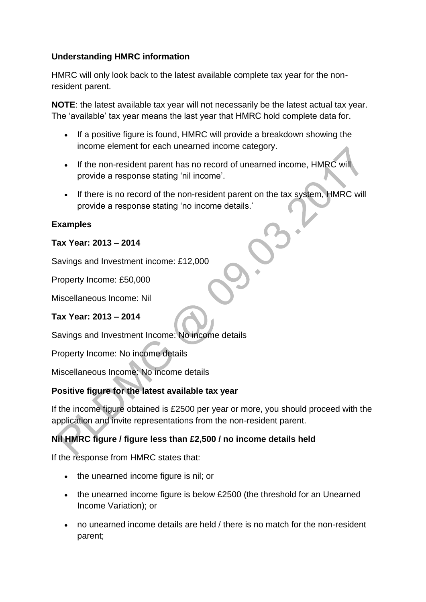# **Understanding HMRC information**

HMRC will only look back to the latest available complete tax year for the nonresident parent.

**NOTE**: the latest available tax year will not necessarily be the latest actual tax year. The 'available' tax year means the last year that HMRC hold complete data for.

- If a positive figure is found, HMRC will provide a breakdown showing the income element for each unearned income category.
- If the non-resident parent has no record of unearned income, HMRC will provide a response stating 'nil income'.
- If there is no record of the non-resident parent on the tax system, HMRC will provide a response stating 'no income details.'

### **Examples**

### **Tax Year: 2013 – 2014**

Savings and Investment income: £12,000

Property Income: £50,000

Miscellaneous Income: Nil

### **Tax Year: 2013 – 2014**

Savings and Investment Income: No income details

Property Income: No income details

Miscellaneous Income: No income details

### **Positive figure for the latest available tax year**

If the income figure obtained is £2500 per year or more, you should proceed with the application and invite representations from the non-resident parent.

# **Nil HMRC figure / figure less than £2,500 / no income details held**

If the response from HMRC states that:

- the unearned income figure is nil; or
- the unearned income figure is below £2500 (the threshold for an Unearned Income Variation); or
- no unearned income details are held / there is no match for the non-resident parent;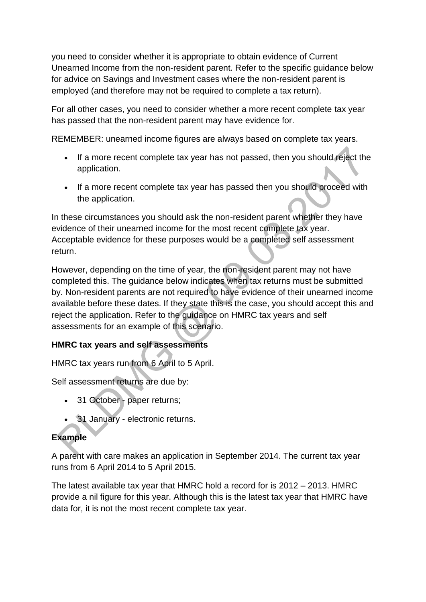you need to consider whether it is appropriate to obtain evidence of Current Unearned Income from the non-resident parent. Refer to the specific guidance below for advice on Savings and Investment cases where the non-resident parent is employed (and therefore may not be required to complete a tax return).

For all other cases, you need to consider whether a more recent complete tax year has passed that the non-resident parent may have evidence for.

REMEMBER: unearned income figures are always based on complete tax years.

- If a more recent complete tax year has not passed, then you should reject the application.
- If a more recent complete tax year has passed then you should proceed with the application.

In these circumstances you should ask the non-resident parent whether they have evidence of their unearned income for the most recent complete tax year. Acceptable evidence for these purposes would be a completed self assessment return.

However, depending on the time of year, the non-resident parent may not have completed this. The guidance below indicates when tax returns must be submitted by. Non-resident parents are not required to have evidence of their unearned income available before these dates. If they state this is the case, you should accept this and reject the application. Refer to the guidance on HMRC tax years and self assessments for an example of this scenario.

# **HMRC tax years and self assessments**

HMRC tax years run from 6 April to 5 April.

Self assessment returns are due by:

- 31 October paper returns;
- 31 January electronic returns.

# **Example**

A parent with care makes an application in September 2014. The current tax year runs from 6 April 2014 to 5 April 2015.

The latest available tax year that HMRC hold a record for is 2012 – 2013. HMRC provide a nil figure for this year. Although this is the latest tax year that HMRC have data for, it is not the most recent complete tax year.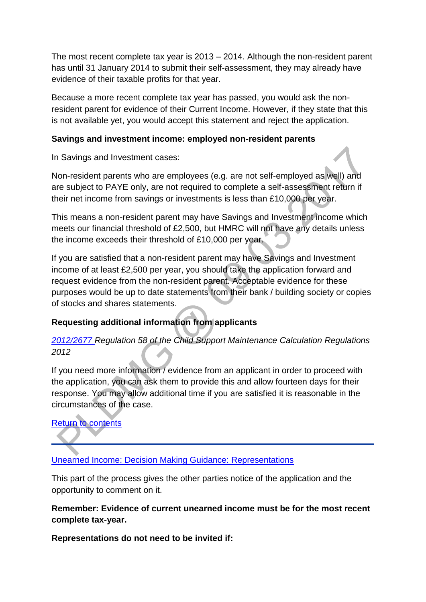The most recent complete tax year is 2013 – 2014. Although the non-resident parent has until 31 January 2014 to submit their self-assessment, they may already have evidence of their taxable profits for that year.

Because a more recent complete tax year has passed, you would ask the nonresident parent for evidence of their Current Income. However, if they state that this is not available yet, you would accept this statement and reject the application.

### **Savings and investment income: employed non-resident parents**

In Savings and Investment cases:

Non-resident parents who are employees (e.g. are not self-employed as well) and are subject to PAYE only, are not required to complete a self-assessment return if their net income from savings or investments is less than £10,000 per year.

This means a non-resident parent may have Savings and Investment income which meets our financial threshold of £2,500, but HMRC will not have any details unless the income exceeds their threshold of £10,000 per year.

If you are satisfied that a non-resident parent may have Savings and Investment income of at least £2,500 per year, you should take the application forward and request evidence from the non-resident parent. Acceptable evidence for these purposes would be up to date statements from their bank / building society or copies of stocks and shares statements.

# **Requesting additional information from applicants**

# *[2012/2677 R](http://www.legislation.gov.uk/uksi/2012/2677)egulation 58 of the Child Support Maintenance Calculation Regulations 2012*

If you need more information / evidence from an applicant in order to proceed with the application, you can ask them to provide this and allow fourteen days for their response. You may allow additional time if you are satisfied it is reasonable in the circumstances of the case.

# [Return to contents](http://np-cmg-sharepoint.link2.gpn.gov.uk/sites/policy-law-and-decision-making-guidance/Pages/Variations/Additional%20Income/Unearned-income.aspx#OverviewContents)

# [Unearned Income: Decision Making Guidance: Representations](http://np-cmg-sharepoint.link2.gpn.gov.uk/sites/policy-law-and-decision-making-guidance/Pages/Variations/Additional%20Income/Unearned-income.aspx)

This part of the process gives the other parties notice of the application and the opportunity to comment on it.

### **Remember: Evidence of current unearned income must be for the most recent complete tax-year.**

**Representations do not need to be invited if:**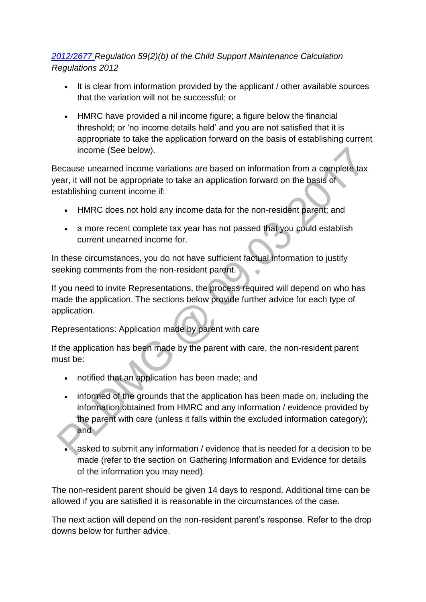*[2012/2677 R](http://www.legislation.gov.uk/uksi/2012/2677)egulation 59(2)(b) of the Child Support Maintenance Calculation Regulations 2012* 

- It is clear from information provided by the applicant / other available sources that the variation will not be successful; or
- HMRC have provided a nil income figure; a figure below the financial threshold; or 'no income details held' and you are not satisfied that it is appropriate to take the application forward on the basis of establishing current income (See below).

Because unearned income variations are based on information from a complete tax year, it will not be appropriate to take an application forward on the basis of establishing current income if:

- HMRC does not hold any income data for the non-resident parent; and
- a more recent complete tax year has not passed that you could establish current unearned income for.

In these circumstances, you do not have sufficient factual information to justify seeking comments from the non-resident parent.

If you need to invite Representations, the process required will depend on who has made the application. The sections below provide further advice for each type of application.

Representations: Application made by parent with care

If the application has been made by the parent with care, the non-resident parent must be:

- notified that an application has been made; and
- informed of the grounds that the application has been made on, including the information obtained from HMRC and any information / evidence provided by the parent with care (unless it falls within the excluded information category); and a
- asked to submit any information / evidence that is needed for a decision to be made (refer to the section on Gathering Information and Evidence for details of the information you may need).

The non-resident parent should be given 14 days to respond. Additional time can be allowed if you are satisfied it is reasonable in the circumstances of the case.

The next action will depend on the non-resident parent's response. Refer to the drop downs below for further advice.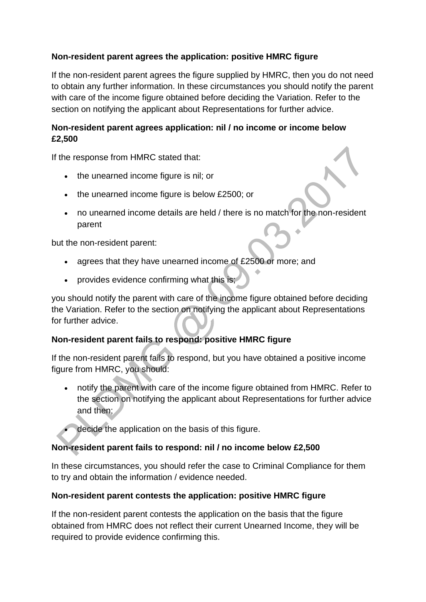# **Non-resident parent agrees the application: positive HMRC figure**

If the non-resident parent agrees the figure supplied by HMRC, then you do not need to obtain any further information. In these circumstances you should notify the parent with care of the income figure obtained before deciding the Variation. Refer to the section on notifying the applicant about Representations for further advice.

# **Non-resident parent agrees application: nil / no income or income below £2,500**

If the response from HMRC stated that:

- the unearned income figure is nil; or
- the unearned income figure is below £2500; or
- no unearned income details are held / there is no match for the non-resident parent

but the non-resident parent:

- agrees that they have unearned income of £2500 or more; and
- provides evidence confirming what this is;

you should notify the parent with care of the income figure obtained before deciding the Variation. Refer to the section on notifying the applicant about Representations for further advice.

# **Non-resident parent fails to respond: positive HMRC figure**

If the non-resident parent fails to respond, but you have obtained a positive income figure from HMRC, you should:

- notify the parent with care of the income figure obtained from HMRC. Refer to the section on notifying the applicant about Representations for further advice and then;
	- decide the application on the basis of this figure.

# **Non-resident parent fails to respond: nil / no income below £2,500**

In these circumstances, you should refer the case to Criminal Compliance for them to try and obtain the information / evidence needed.

### **Non-resident parent contests the application: positive HMRC figure**

If the non-resident parent contests the application on the basis that the figure obtained from HMRC does not reflect their current Unearned Income, they will be required to provide evidence confirming this.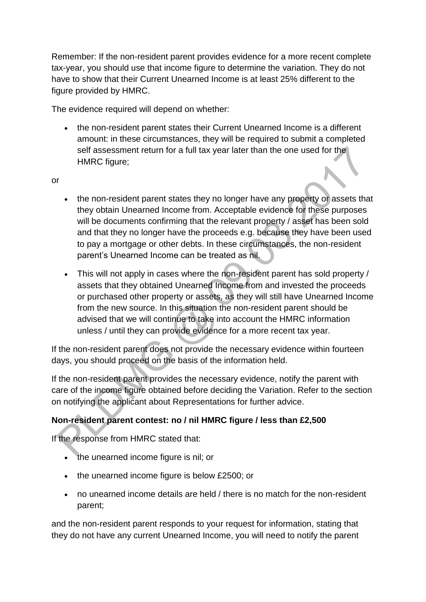Remember: If the non-resident parent provides evidence for a more recent complete tax-year, you should use that income figure to determine the variation. They do not have to show that their Current Unearned Income is at least 25% different to the figure provided by HMRC.

The evidence required will depend on whether:

• the non-resident parent states their Current Unearned Income is a different amount: in these circumstances, they will be required to submit a completed self assessment return for a full tax year later than the one used for the HMRC figure;

or

- the non-resident parent states they no longer have any property or assets that they obtain Unearned Income from. Acceptable evidence for these purposes will be documents confirming that the relevant property / asset has been sold and that they no longer have the proceeds e.g. because they have been used to pay a mortgage or other debts. In these circumstances, the non-resident parent's Unearned Income can be treated as nil.
- This will not apply in cases where the non-resident parent has sold property / assets that they obtained Unearned Income from and invested the proceeds or purchased other property or assets, as they will still have Unearned Income from the new source. In this situation the non-resident parent should be advised that we will continue to take into account the HMRC information unless / until they can provide evidence for a more recent tax year.

If the non-resident parent does not provide the necessary evidence within fourteen days, you should proceed on the basis of the information held.

If the non-resident parent provides the necessary evidence, notify the parent with care of the income figure obtained before deciding the Variation. Refer to the section on notifying the applicant about Representations for further advice.

# **Non-resident parent contest: no / nil HMRC figure / less than £2,500**

If the response from HMRC stated that:

- the unearned income figure is nil; or
- the unearned income figure is below £2500; or
- no unearned income details are held / there is no match for the non-resident parent;

and the non-resident parent responds to your request for information, stating that they do not have any current Unearned Income, you will need to notify the parent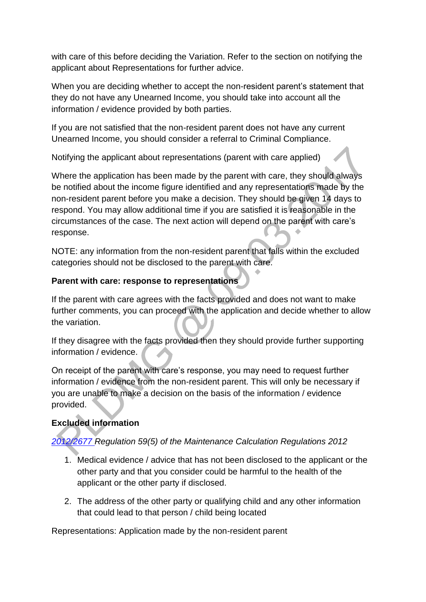with care of this before deciding the Variation. Refer to the section on notifying the applicant about Representations for further advice.

When you are deciding whether to accept the non-resident parent's statement that they do not have any Unearned Income, you should take into account all the information / evidence provided by both parties.

If you are not satisfied that the non-resident parent does not have any current Unearned Income, you should consider a referral to Criminal Compliance.

Notifying the applicant about representations (parent with care applied)

Where the application has been made by the parent with care, they should always be notified about the income figure identified and any representations made by the non-resident parent before you make a decision. They should be given 14 days to respond. You may allow additional time if you are satisfied it is reasonable in the circumstances of the case. The next action will depend on the parent with care's response.

NOTE: any information from the non-resident parent that falls within the excluded categories should not be disclosed to the parent with care.

### **Parent with care: response to representations**

If the parent with care agrees with the facts provided and does not want to make further comments, you can proceed with the application and decide whether to allow the variation.

If they disagree with the facts provided then they should provide further supporting information / evidence.

On receipt of the parent with care's response, you may need to request further information / evidence from the non-resident parent. This will only be necessary if you are unable to make a decision on the basis of the information / evidence provided.

# **Excluded information**

*[2012/2677 R](http://www.legislation.gov.uk/uksi/2012/2677)egulation 59(5) of the Maintenance Calculation Regulations 2012* 

- 1. Medical evidence / advice that has not been disclosed to the applicant or the other party and that you consider could be harmful to the health of the applicant or the other party if disclosed.
- 2. The address of the other party or qualifying child and any other information that could lead to that person / child being located

Representations: Application made by the non-resident parent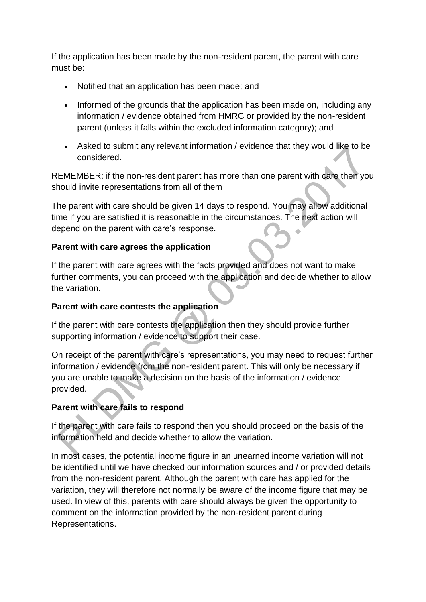If the application has been made by the non-resident parent, the parent with care must be:

- Notified that an application has been made; and
- Informed of the grounds that the application has been made on, including any information / evidence obtained from HMRC or provided by the non-resident parent (unless it falls within the excluded information category); and
- Asked to submit any relevant information / evidence that they would like to be considered.

REMEMBER: if the non-resident parent has more than one parent with care then you should invite representations from all of them

The parent with care should be given 14 days to respond. You may allow additional time if you are satisfied it is reasonable in the circumstances. The next action will depend on the parent with care's response.

### **Parent with care agrees the application**

If the parent with care agrees with the facts provided and does not want to make further comments, you can proceed with the application and decide whether to allow the variation.

### **Parent with care contests the application**

If the parent with care contests the application then they should provide further supporting information / evidence to support their case.

On receipt of the parent with care's representations, you may need to request further information / evidence from the non-resident parent. This will only be necessary if you are unable to make a decision on the basis of the information / evidence provided.

# **Parent with care fails to respond**

If the parent with care fails to respond then you should proceed on the basis of the information held and decide whether to allow the variation.

In most cases, the potential income figure in an unearned income variation will not be identified until we have checked our information sources and / or provided details from the non-resident parent. Although the parent with care has applied for the variation, they will therefore not normally be aware of the income figure that may be used. In view of this, parents with care should always be given the opportunity to comment on the information provided by the non-resident parent during Representations.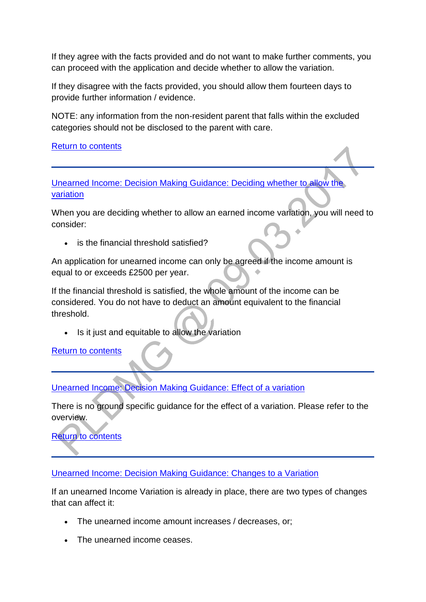If they agree with the facts provided and do not want to make further comments, you can proceed with the application and decide whether to allow the variation.

If they disagree with the facts provided, you should allow them fourteen days to provide further information / evidence.

NOTE: any information from the non-resident parent that falls within the excluded categories should not be disclosed to the parent with care.

[Return to contents](http://np-cmg-sharepoint.link2.gpn.gov.uk/sites/policy-law-and-decision-making-guidance/Pages/Variations/Additional%20Income/Unearned-income.aspx#OverviewContents)

[Unearned Income: Decision Making Guidance: Deciding whether to allow the](http://np-cmg-sharepoint.link2.gpn.gov.uk/sites/policy-law-and-decision-making-guidance/Pages/Variations/Additional%20Income/Unearned-income.aspx)  [variation](http://np-cmg-sharepoint.link2.gpn.gov.uk/sites/policy-law-and-decision-making-guidance/Pages/Variations/Additional%20Income/Unearned-income.aspx)

When you are deciding whether to allow an earned income variation, you will need to consider:

is the financial threshold satisfied?

An application for unearned income can only be agreed if the income amount is equal to or exceeds £2500 per year.

If the financial threshold is satisfied, the whole amount of the income can be considered. You do not have to deduct an amount equivalent to the financial threshold.

Is it just and equitable to allow the variation

[Return to contents](http://np-cmg-sharepoint.link2.gpn.gov.uk/sites/policy-law-and-decision-making-guidance/Pages/Variations/Additional%20Income/Unearned-income.aspx#OverviewContents)

[Unearned Income: Decision Making Guidance: Effect of a variation](http://np-cmg-sharepoint.link2.gpn.gov.uk/sites/policy-law-and-decision-making-guidance/Pages/Variations/Additional%20Income/Unearned-income.aspx)

There is no ground specific guidance for the effect of a variation. Please refer to the overview.

[Return to contents](http://np-cmg-sharepoint.link2.gpn.gov.uk/sites/policy-law-and-decision-making-guidance/Pages/Variations/Additional%20Income/Unearned-income.aspx#OverviewContents)

[Unearned Income: Decision Making Guidance: Changes to a Variation](http://np-cmg-sharepoint.link2.gpn.gov.uk/sites/policy-law-and-decision-making-guidance/Pages/Variations/Additional%20Income/Unearned-income.aspx)

If an unearned Income Variation is already in place, there are two types of changes that can affect it:

- The unearned income amount increases / decreases, or;
- The unearned income ceases.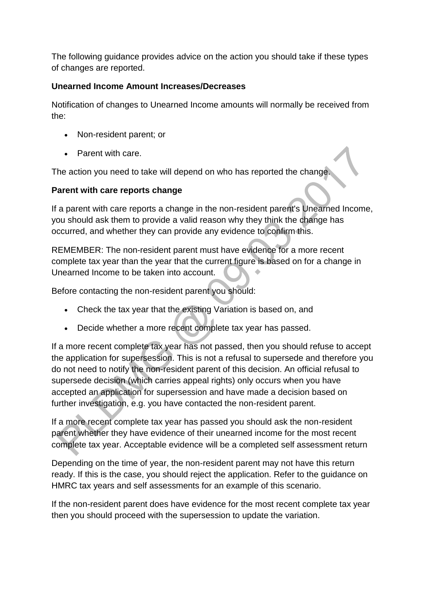The following guidance provides advice on the action you should take if these types of changes are reported.

# **Unearned Income Amount Increases/Decreases**

Notification of changes to Unearned Income amounts will normally be received from the:

- Non-resident parent; or
- Parent with care.

The action you need to take will depend on who has reported the change.

# **Parent with care reports change**

If a parent with care reports a change in the non-resident parent's Unearned Income, you should ask them to provide a valid reason why they think the change has occurred, and whether they can provide any evidence to confirm this.

REMEMBER: The non-resident parent must have evidence for a more recent complete tax year than the year that the current figure is based on for a change in Unearned Income to be taken into account.

Before contacting the non-resident parent you should:

- Check the tax year that the existing Variation is based on, and
- Decide whether a more recent complete tax year has passed.

If a more recent complete tax year has not passed, then you should refuse to accept the application for supersession. This is not a refusal to supersede and therefore you do not need to notify the non-resident parent of this decision. An official refusal to supersede decision (which carries appeal rights) only occurs when you have accepted an application for supersession and have made a decision based on further investigation, e.g. you have contacted the non-resident parent.

If a more recent complete tax year has passed you should ask the non-resident parent whether they have evidence of their unearned income for the most recent complete tax year. Acceptable evidence will be a completed self assessment return

Depending on the time of year, the non-resident parent may not have this return ready. If this is the case, you should reject the application. Refer to the guidance on HMRC tax years and self assessments for an example of this scenario.

If the non-resident parent does have evidence for the most recent complete tax year then you should proceed with the supersession to update the variation.